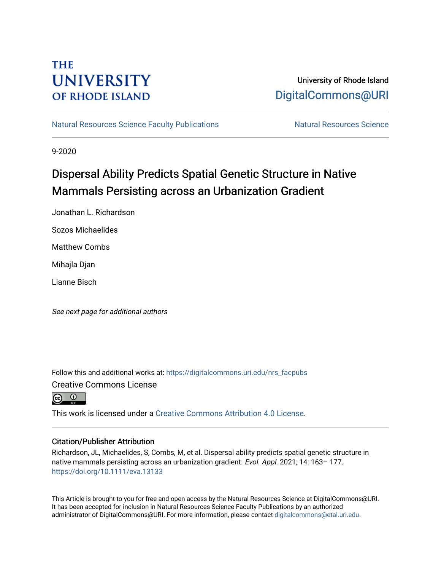## **THE UNIVERSITY OF RHODE ISLAND**

### University of Rhode Island [DigitalCommons@URI](https://digitalcommons.uri.edu/)

[Natural Resources Science Faculty Publications](https://digitalcommons.uri.edu/nrs_facpubs) Natural Resources Science

9-2020

## Dispersal Ability Predicts Spatial Genetic Structure in Native Mammals Persisting across an Urbanization Gradient

Jonathan L. Richardson

Sozos Michaelides

Matthew Combs

Mihajla Djan

Lianne Bisch

See next page for additional authors

Follow this and additional works at: [https://digitalcommons.uri.edu/nrs\\_facpubs](https://digitalcommons.uri.edu/nrs_facpubs?utm_source=digitalcommons.uri.edu%2Fnrs_facpubs%2F195&utm_medium=PDF&utm_campaign=PDFCoverPages)  Creative Commons License



This work is licensed under a [Creative Commons Attribution 4.0 License](https://creativecommons.org/licenses/by/4.0/).

#### Citation/Publisher Attribution

Richardson, JL, Michaelides, S, Combs, M, et al. Dispersal ability predicts spatial genetic structure in native mammals persisting across an urbanization gradient. Evol. Appl. 2021; 14: 163– 177. <https://doi.org/10.1111/eva.13133>

This Article is brought to you for free and open access by the Natural Resources Science at DigitalCommons@URI. It has been accepted for inclusion in Natural Resources Science Faculty Publications by an authorized administrator of DigitalCommons@URI. For more information, please contact [digitalcommons@etal.uri.edu.](mailto:digitalcommons@etal.uri.edu)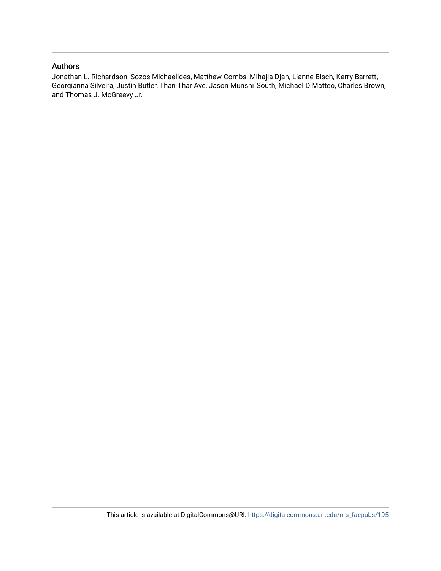#### Authors

Jonathan L. Richardson, Sozos Michaelides, Matthew Combs, Mihajla Djan, Lianne Bisch, Kerry Barrett, Georgianna Silveira, Justin Butler, Than Thar Aye, Jason Munshi‐South, Michael DiMatteo, Charles Brown, and Thomas J. McGreevy Jr.